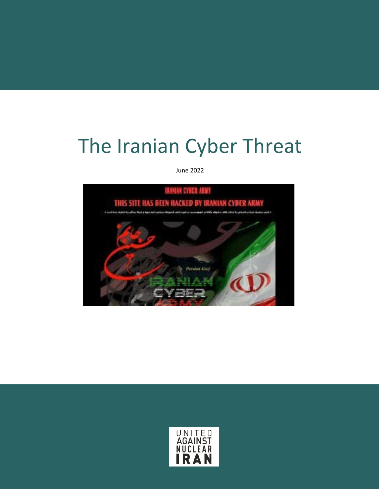# The Iranian Cyber Threat

June 2022



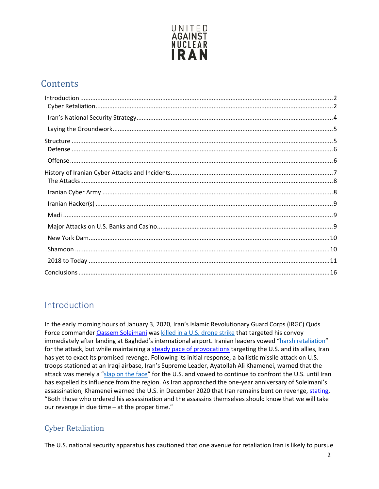

# **Contents**

## <span id="page-1-0"></span>Introduction

In the early morning hours of January 3, 2020, Iran's Islamic Revolutionary Guard Corps (IRGC) Quds Force commander *Qassem Soleimani* was [killed in a U.S. drone strike](https://www.cnn.com/2020/01/02/middleeast/baghdad-airport-rockets/index.html) that targeted his convoy immediately after landing at Baghdad's international airport. Iranian leaders vowed ["harsh retaliation"](https://www.nbcnews.com/news/world/iran-vows-revenge-harsh-retaliation-after-u-s-kills-its-n1109856) for the attack, but while maintaining a [steady pace of provocations](https://www.unitedagainstnucleariran.com/jcpoa/moderation-mythbuster) targeting the U.S. and its allies, Iran has yet to exact its promised revenge. Following its initial response, a ballistic missile attack on U.S. troops stationed at an Iraqi airbase, Iran's Supreme Leader, Ayatollah Ali Khamenei, warned that the attack was merely a ["slap on the face"](https://www.reuters.com/article/us-iraq-security-iran-khamenei/irans-supreme-leader-says-missile-strike-a-slap-on-the-face-for-us-idUSKBN1Z715G) for the U.S. and vowed to continue to confront the U.S. until Iran has expelled its influence from the region. As Iran approached the one-year anniversary of Soleimani's assassination, Khamenei warned the U.S. in December 2020 that Iran remains bent on revenge, [stating,](https://english.khamenei.ir/news/8203/Martyr-Soleimani-is-a-champion-of-the-Iranian-nation-and-of-the) "Both those who ordered his assassination and the assassins themselves should know that we will take our revenge in due time – at the proper time."

#### <span id="page-1-1"></span>Cyber Retaliation

The U.S. national security apparatus has cautioned that one avenue for retaliation Iran is likely to pursue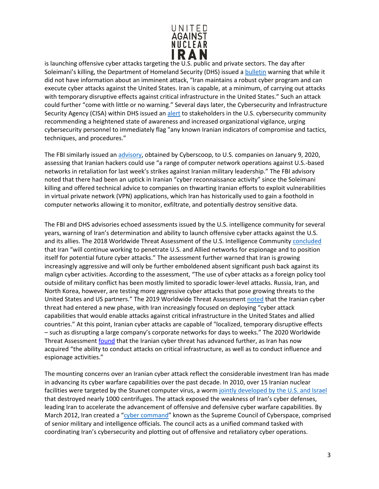

is launching offensive cyber attacks targeting the U.S. public and private sectors. The day after Soleimani's killing, the Department of Homeland Security (DHS) issued a [bulletin](https://www.dhs.gov/sites/default/files/ntas/alerts/20_0104_ntas_bulletin.pdf) warning that while it did not have information about an imminent attack, "Iran maintains a robust cyber program and can execute cyber attacks against the United States. Iran is capable, at a minimum, of carrying out attacks with temporary disruptive effects against critical infrastructure in the United States." Such an attack could further "come with little or no warning." Several days later, the Cybersecurity and Infrastructure Security Agency (CISA) within DHS issued a[n alert](https://www.us-cert.gov/ncas/alerts/aa20-006a) to stakeholders in the U.S. cybersecurity community recommending a heightened state of awareness and increased organizational vigilance, urging cybersecurity personnel to immediately flag "any known Iranian indicators of compromise and tactics, techniques, and procedures."

The FBI similarly issued an [advisory, o](https://www.cyberscoop.com/fbi-iran-soleimani-cyber/)btained by Cyberscoop, to U.S. companies on January 9, 2020, assessing that Iranian hackers could use "a range of computer network operations against U.S.-based networks in retaliation for last week's strikes against Iranian military leadership." The FBI advisory noted that there had been an uptick in Iranian "cyber reconnaissance activity" since the Soleimani killing and offered technical advice to companies on thwarting Iranian efforts to exploit vulnerabilities in virtual private network (VPN) applications, which Iran has historically used to gain a foothold in computer networks allowing it to monitor, exfiltrate, and potentially destroy sensitive data.

The FBI and DHS advisories echoed assessments issued by the U.S. intelligence community for several years, warning of Iran's determination and ability to launch offensive cyber attacks against the U.S. and its allies. The 2018 Worldwide Threat Assessment of the U.S. Intelligence Community [concluded](https://www.dni.gov/files/documents/Newsroom/Testimonies/2018-ATA---Unclassified-SSCI.pdf) that Iran "will continue working to penetrate U.S. and Allied networks for espionage and to position itself for potential future cyber attacks." The assessment further warned that Iran is growing increasingly aggressive and will only be further emboldened absent significant push back against its malign cyber activities. According to the assessment, "The use of cyber attacks as a foreign policy tool outside of military conflict has been mostly limited to sporadic lower-level attacks. Russia, Iran, and North Korea, however, are testing more aggressive cyber attacks that pose growing threats to the United States and US partners." The 2019 Worldwide Threat Assessment [noted](https://www.dni.gov/files/ODNI/documents/2019-ATA-SFR---SSCI.pdf) that the Iranian cyber threat had entered a new phase, with Iran increasingly focused on deploying "cyber attack capabilities that would enable attacks against critical infrastructure in the United States and allied countries." At this point, Iranian cyber attacks are capable of "localized, temporary disruptive effects – such as disrupting a large company's corporate networks for days to weeks." The 2020 Worldwide Threat Assessment [found](https://www.dni.gov/files/ODNI/documents/assessments/ATA-2021-Unclassified-Report.pdf) that the Iranian cyber threat has advanced further, as Iran has now acquired "the ability to conduct attacks on critical infrastructure, as well as to conduct influence and espionage activities."

The mounting concerns over an Iranian cyber attack reflect the considerable investment Iran has made in advancing its cyber warfare capabilities over the past decade. In 2010, over 15 Iranian nuclear facilities were targeted by the Stuxnet computer virus, a worm [jointly developed by the U.S. and Israel](https://www.businessinsider.com/stuxnet-was-far-more-dangerous-than-previous-thought-2013-11) that destroyed nearly 1000 centrifuges. The attack exposed the weakness of Iran's cyber defenses, leading Iran to accelerate the advancement of offensive and defensive cyber warfare capabilities. By March 2012, Iran created a ["cyber command"](https://foreignpolicy.com/2014/02/18/forget-china-irans-hackers-are-americas-newest-cyber-threat/) known as the Supreme Council of Cyberspace, comprised of senior military and intelligence officials. The council acts as a unified command tasked with coordinating Iran's cybersecurity and plotting out of offensive and retaliatory cyber operations.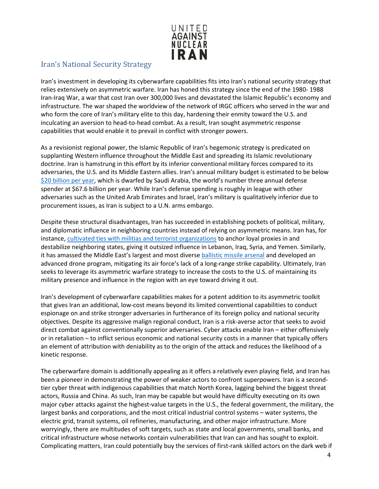

#### <span id="page-3-0"></span>Iran's National Security Strategy

Iran's investment in developing its cyberwarfare capabilities fits into Iran's national security strategy that relies extensively on asymmetric warfare. Iran has honed this strategy since the end of the 1980- 1988 Iran-Iraq War, a war that cost Iran over 300,000 lives and devastated the Islamic Republic's economy and infrastructure. The war shaped the worldview of the network of IRGC officers who served in the war and who form the core of Iran's military elite to this day, hardening their enmity toward the U.S. and inculcating an aversion to head-to-head combat. As a result, Iran sought asymmetric response capabilities that would enable it to prevail in conflict with stronger powers.

As a revisionist regional power, the Islamic Republic of Iran's hegemonic strategy is predicated on supplanting Western influence throughout the Middle East and spreading its Islamic revolutionary doctrine. Iran is hamstrung in this effort by its inferior conventional military forces compared to its adversaries, the U.S. and its Middle Eastern allies. Iran's annual military budget is estimated to be below [\\$20 billion per year, w](https://www.globalfirepower.com/defense-spending-budget.asp)hich is dwarfed by Saudi Arabia, the world's number three annual defense spender at \$67.6 billion per year. While Iran's defense spending is roughly in league with other adversaries such as the United Arab Emirates and Israel, Iran's military is qualitatively inferior due to procurement issues, as Iran is subject to a U.N. arms embargo.

Despite these structural disadvantages, Iran has succeeded in establishing pockets of political, military, and diplomatic influence in neighboring countries instead of relying on asymmetric means. Iran has, for instance[, cultivated ties with militias and terrorist organizations](https://www.unitedagainstnucleariran.com/proxy-wars/map) to anchor loyal proxies in and destabilize neighboring states, giving it outsized influence in Lebanon, Iraq, Syria, and Yemen. Similarly, it has amassed the Middle East's largest and most divers[e ballistic missile arsenal](https://www.unitedagainstnucleariran.com/ballistic-missile-threat) and developed an advanced drone program, mitigating its air force's lack of a long-range strike capability. Ultimately, Iran seeks to leverage its asymmetric warfare strategy to increase the costs to the U.S. of maintaining its military presence and influence in the region with an eye toward driving it out.

Iran's development of cyberwarfare capabilities makes for a potent addition to its asymmetric toolkit that gives Iran an additional, low-cost means beyond its limited conventional capabilities to conduct espionage on and strike stronger adversaries in furtherance of its foreign policy and national security objectives. Despite its aggressive malign regional conduct, Iran is a risk-averse actor that seeks to avoid direct combat against conventionally superior adversaries. Cyber attacks enable Iran – either offensively or in retaliation – to inflict serious economic and national security costs in a manner that typically offers an element of attribution with deniability as to the origin of the attack and reduces the likelihood of a kinetic response.

The cyberwarfare domain is additionally appealing as it offers a relatively even playing field, and Iran has been a pioneer in demonstrating the power of weaker actors to confront superpowers. Iran is a secondtier cyber threat with indigenous capabilities that match North Korea, lagging behind the biggest threat actors, Russia and China. As such, Iran may be capable but would have difficulty executing on its own major cyber attacks against the highest-value targets in the U.S., the federal government, the military, the largest banks and corporations, and the most critical industrial control systems – water systems, the electric grid, transit systems, oil refineries, manufacturing, and other major infrastructure. More worryingly, there are multitudes of soft targets, such as state and local governments, small banks, and critical infrastructure whose networks contain vulnerabilities that Iran can and has sought to exploit. Complicating matters, Iran could potentially buy the services of first-rank skilled actors on the dark web if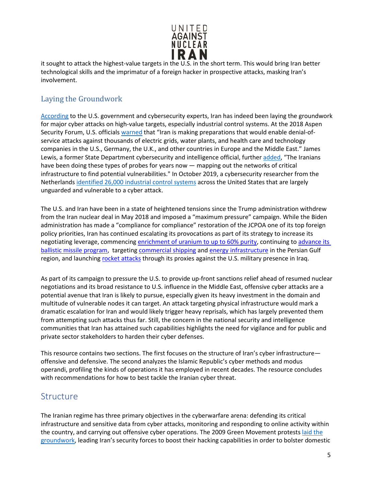

it sought to attack the highest-value targets in the U.S. in the short term. This would bring Iran better technological skills and the imprimatur of a foreign hacker in prospective attacks, masking Iran's involvement.

#### <span id="page-4-0"></span>Laying the Groundwork

[According](https://www.nbcnews.com/news/us-news/iran-has-laid-groundwork-extensive-cyberattacks-u-s-say-officials-n893081) to the U.S. government and cybersecurity experts, Iran has indeed been laying the groundwork for major cyber attacks on high-value targets, especially industrial control systems. At the 2018 Aspen Security Forum, U.S. officials [warned](https://www.nbcnews.com/news/us-news/iran-has-laid-groundwork-extensive-cyberattacks-u-s-say-officials-n893081) that "Iran is making preparations that would enable denial-ofservice attacks against thousands of electric grids, water plants, and health care and technology companies in the U.S., Germany, the U.K., and other countries in Europe and the Middle East." James Lewis, a former State Department cybersecurity and intelligence official, furthe[r added,](https://www.nbcnews.com/news/us-news/iran-has-laid-groundwork-extensive-cyberattacks-u-s-say-officials-n893081) "The Iranians have been doing these types of probes for years now — mapping out the networks of critical infrastructure to find potential vulnerabilities." In October 2019, a cybersecurity researcher from the Netherland[s identified 26,000 industrial control systems](https://www.icscybersecurityconference.com/intelligence-gathering-on-u-s-critical-infrastructure/) across the United States that are largely unguarded and vulnerable to a cyber attack.

The U.S. and Iran have been in a state of heightened tensions since the Trump administration withdrew from the Iran nuclear deal in May 2018 and imposed a "maximum pressure" campaign. While the Biden administration has made a "compliance for compliance" restoration of the JCPOA one of its top foreign policy priorities, Iran has continued escalating its provocations as part of its strategy to increase its negotiating leverage, commencing [enrichment of uranium to up to 60% purity,](https://www.reuters.com/world/middle-east/iaea-confirms-iran-has-started-enriching-uranium-60-purity-2021-04-17/) continuing to [advance its](https://www.cnbc.com/2021/03/16/iran-reveals-underground-missile-city-as-regional-tensions-rise.html)  [ballistic missile program,](https://www.cnbc.com/2021/03/16/iran-reveals-underground-missile-city-as-regional-tensions-rise.html) targetin[g commercial shipping](https://www.reuters.com/article/us-israel-ship-missiles/israeli-owned-ship-hit-by-missile-in-suspected-iranian-attack-israeli-official-idUSKBN2BH2F5) an[d energy infrastructure](https://www.wsj.com/articles/iran-backed-houthi-rebels-say-they-targeted-saudi-oil-port-11615157185) in the Persian Gulf region, and launching [rocket attacks](https://www.politico.com/news/2021/03/04/iran-group-responsible-iraq-attack-473618) through its proxies against the U.S. military presence in Iraq.

As part of its campaign to pressure the U.S. to provide up-front sanctions relief ahead of resumed nuclear negotiations and its broad resistance to U.S. influence in the Middle East, offensive cyber attacks are a potential avenue that Iran is likely to pursue, especially given its heavy investment in the domain and multitude of vulnerable nodes it can target. An attack targeting physical infrastructure would mark a dramatic escalation for Iran and would likely trigger heavy reprisals, which has largely prevented them from attempting such attacks thus far. Still, the concern in the national security and intelligence communities that Iran has attained such capabilities highlights the need for vigilance and for public and private sector stakeholders to harden their cyber defenses.

This resource contains two sections. The first focuses on the structure of Iran's cyber infrastructure offensive and defensive. The second analyzes the Islamic Republic's cyber methods and modus operandi, profiling the kinds of operations it has employed in recent decades. The resource concludes with recommendations for how to best tackle the Iranian cyber threat.

#### <span id="page-4-1"></span>**Structure**

The Iranian regime has three primary objectives in the cyberwarfare arena: defending its critical infrastructure and sensitive data from cyber attacks, monitoring and responding to online activity within the country, and carrying out offensive cyber operations. The 2009 Green Movement protests [laid the](https://www.csis.org/analysis/iran-and-cyber-power) [groundwork, l](https://www.csis.org/analysis/iran-and-cyber-power)eading Iran's security forces to boost their hacking capabilities in order to bolster domestic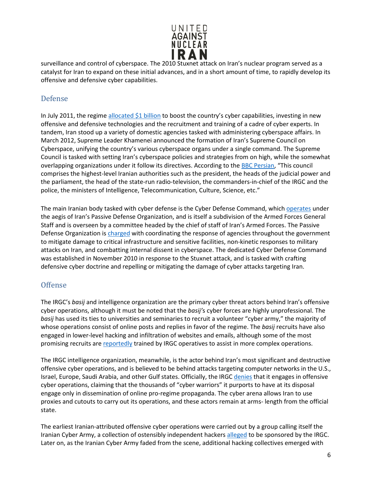

surveillance and control of cyberspace. The 2010 Stuxnet attack on Iran's nuclear program served as a catalyst for Iran to expand on these initial advances, and in a short amount of time, to rapidly develop its offensive and defensive cyber capabilities.

#### <span id="page-5-0"></span>Defense

In July 2011, the regime [allocated \\$1 billion](https://www.slideshare.net/HackRead/irans-cyber-war-skills) to boost the country's cyber capabilities, investing in new offensive and defensive technologies and the recruitment and training of a cadre of cyber experts. In tandem, Iran stood up a variety of domestic agencies tasked with administering cyberspace affairs. In March 2012, Supreme Leader Khamenei announced the formation of Iran's Supreme Council on Cyberspace, unifying the country's various cyberspace organs under a single command. The Supreme Council is tasked with setting Iran's cyberspace policies and strategies from on high, while the somewhat overlapping organizations under it follow its directives. According to the [BBC Persian](https://nligf.nl/v1/upload/pdf/Structure_of_Irans_Cyber_Operations.pdf), "This council comprises the highest-level Iranian authorities such as the president, the heads of the judicial power and the parliament, the head of the state-run radio-television, the commanders-in-chief of the IRGC and the police, the ministers of Intelligence, Telecommunication, Culture, Science, etc."

The main Iranian body tasked with cyber defense is the Cyber Defense Command, which [operates](https://www.washingtoninstitute.org/policy-analysis/view/irans-passive-defense-organization-another-target-for-sanctions) under the aegis of Iran's Passive Defense Organization, and is itself a subdivision of the Armed Forces General Staff and is overseen by a committee headed by the chief of staff of Iran's Armed Forces. The Passive Defense Organization is [charged](https://www.washingtoninstitute.org/policy-analysis/view/irans-passive-defense-organization-another-target-for-sanctions) with coordinating the response of agencies throughout the government to mitigate damage to critical infrastructure and sensitive facilities, non-kinetic responses to military attacks on Iran, and combatting internal dissent in cyberspace. The dedicated Cyber Defense Command was established in November 2010 in response to the Stuxnet attack, and is tasked with crafting defensive cyber doctrine and repelling or mitigating the damage of cyber attacks targeting Iran.

#### <span id="page-5-1"></span>Offense

The IRGC's *basij* and intelligence organization are the primary cyber threat actors behind Iran's offensive cyber operations, although it must be noted that the *basij'*s cyber forces are highly unprofessional. The *basij* has used its ties to universities and seminaries to recruit a volunteer "cyber army," the majority of whose operations consist of online posts and replies in favor of the regime. The *basij* recruits have also engaged in lower-level hacking and infiltration of websites and emails, although some of the most promising recruits ar[e reportedly](https://nligf.nl/v1/upload/pdf/Structure_of_Irans_Cyber_Operations.pdf) trained by IRGC operatives to assist in more complex operations.

The IRGC intelligence organization, meanwhile, is the actor behind Iran's most significant and destructive offensive cyber operations, and is believed to be behind attacks targeting computer networks in the U.S., Israel, Europe, Saudi Arabia, and other Gulf states. Officially, the IRGC [denies](https://carnegieendowment.org/files/Iran_Cyber_Final_Full_v2.pdf) that it engages in offensive cyber operations, claiming that the thousands of "cyber warriors" it purports to have at its disposal engage only in dissemination of online pro-regime propaganda. The cyber arena allows Iran to use proxies and cutouts to carry out its operations, and these actors remain at arms- length from the official state.

The earliest Iranian-attributed offensive cyber operations were carried out by a group calling itself the Iranian Cyber Army, a collection of ostensibly independent hackers [alleged](https://docs.house.gov/meetings/HM/HM05/20160211/104455/HHRG-114-HM05-Wstate-BermanI-20160211.pdf) to be sponsored by the IRGC. Later on, as the Iranian Cyber Army faded from the scene, additional hacking collectives emerged with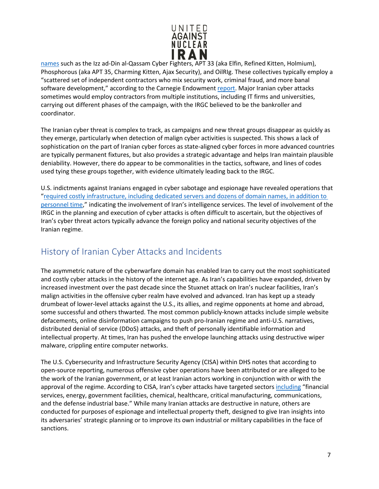

[names](https://iranprimer.usip.org/blog/2019/oct/25/invisible-us-iran-cyber-war) such as the Izz ad-Din al-Qassam Cyber Fighters, APT 33 (aka Elfin, Refined Kitten, Holmium), Phosphorous (aka APT 35, Charming Kitten, Ajax Security), and OilRIg. These collectives typically employ a "scattered set of independent contractors who mix security work, criminal fraud, and more banal software development," according to the Carnegie Endowmen[t report.](https://carnegieendowment.org/files/Iran_Cyber_Final_Full_v2.pdf) Major Iranian cyber attacks sometimes would employ contractors from multiple institutions, including IT firms and universities, carrying out different phases of the campaign, with the IRGC believed to be the bankroller and coordinator.

The Iranian cyber threat is complex to track, as campaigns and new threat groups disappear as quickly as they emerge, particularly when detection of malign cyber activities is suspected. This shows a lack of sophistication on the part of Iranian cyber forces as state-aligned cyber forces in more advanced countries are typically permanent fixtures, but also provides a strategic advantage and helps Iran maintain plausible deniability. However, there do appear to be commonalities in the tactics, software, and lines of codes used tying these groups together, with evidence ultimately leading back to the IRGC.

U.S. indictments against Iranians engaged in cyber sabotage and espionage have revealed operations that ["required costly infrastructure, including dedicated servers and dozens of domain names, in](https://carnegieendowment.org/2018/01/04/iran-s-cyber-ecosystem-who-are-threat-actors-pub-75140) [addition to](https://carnegieendowment.org/2018/01/04/iran-s-cyber-ecosystem-who-are-threat-actors-pub-75140)  [personnel time,"](https://carnegieendowment.org/2018/01/04/iran-s-cyber-ecosystem-who-are-threat-actors-pub-75140) indicating the involvement of Iran's intelligence services. The level of involvement of the IRGC in the planning and execution of cyber attacks is often difficult to ascertain, but the objectives of Iran's cyber threat actors typically advance the foreign policy and national security objectives of the Iranian regime.

## <span id="page-6-0"></span>History of Iranian Cyber Attacks and Incidents

The asymmetric nature of the cyberwarfare domain has enabled Iran to carry out the most sophisticated and costly cyber attacks in the history of the internet age. As Iran's capabilities have expanded, driven by increased investment over the past decade since the Stuxnet attack on Iran's nuclear facilities, Iran's malign activities in the offensive cyber realm have evolved and advanced. Iran has kept up a steady drumbeat of lower-level attacks against the U.S., its allies, and regime opponents at home and abroad, some successful and others thwarted. The most common publicly-known attacks include simple website defacements, online disinformation campaigns to push pro-Iranian regime and anti-U.S. narratives, distributed denial of service (DDoS) attacks, and theft of personally identifiable information and intellectual property. At times, Iran has pushed the envelope launching attacks using destructive wiper malware, crippling entire computer networks.

The U.S. Cybersecurity and Infrastructure Security Agency (CISA) within DHS notes that according to open-source reporting, numerous offensive cyber operations have been attributed or are alleged to be the work of the Iranian government, or at least Iranian actors working in conjunction with or with the approval of the regime. According to CISA, Iran's cyber attacks have targeted sector[s including](https://www.us-cert.gov/ncas/alerts/aa20-006a) "financial services, energy, government facilities, chemical, healthcare, critical manufacturing, communications, and the defense industrial base." While many Iranian attacks are destructive in nature, others are conducted for purposes of espionage and intellectual property theft, designed to give Iran insights into its adversaries' strategic planning or to improve its own industrial or military capabilities in the face of sanctions.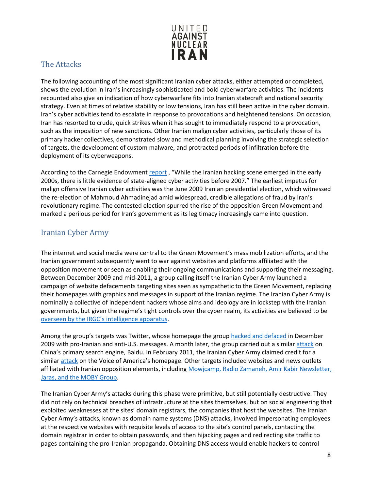

#### <span id="page-7-0"></span>The Attacks

The following accounting of the most significant Iranian cyber attacks, either attempted or completed, shows the evolution in Iran's increasingly sophisticated and bold cyberwarfare activities. The incidents recounted also give an indication of how cyberwarfare fits into Iranian statecraft and national security strategy. Even at times of relative stability or low tensions, Iran has still been active in the cyber domain. Iran's cyber activities tend to escalate in response to provocations and heightened tensions. On occasion, Iran has resorted to crude, quick strikes when it has sought to immediately respond to a provocation, such as the imposition of new sanctions. Other Iranian malign cyber activities, particularly those of its primary hacker collectives, demonstrated slow and methodical planning involving the strategic selection of targets, the development of custom malware, and protracted periods of infiltration before the deployment of its cyberweapons.

According to the Carnegie Endowment [report](https://carnegieendowment.org/2018/01/04/iran-s-cyber-threat-introduction-pub-75138), "While the Iranian hacking scene emerged in the early 2000s, there is little evidence of state-aligned cyber activities before 2007." The earliest impetus for malign offensive Iranian cyber activities was the June 2009 Iranian presidential election, which witnessed the re-election of Mahmoud Ahmadinejad amid widespread, credible allegations of fraud by Iran's revolutionary regime. The contested election spurred the rise of the opposition Green Movement and marked a perilous period for Iran's government as its legitimacy increasingly came into question.

#### <span id="page-7-1"></span>Iranian Cyber Army

The internet and social media were central to the Green Movement's mass mobilization efforts, and the Iranian government subsequently went to war against websites and platforms affiliated with the opposition movement or seen as enabling their ongoing communications and supporting their messaging. Between December 2009 and mid-2011, a group calling itself the Iranian Cyber Army launched a campaign of website defacements targeting sites seen as sympathetic to the Green Movement, replacing their homepages with graphics and messages in support of the Iranian regime. The Iranian Cyber Army is nominally a collective of independent hackers whose aims and ideology are in lockstep with the Iranian governments, but given the regime's tight controls over the cyber realm, its activities are believed to be [overseen by the IRGC's intelligence apparatus.](https://docs.house.gov/meetings/HM/HM05/20160211/104455/HHRG-114-HM05-Wstate-BermanI-20160211.pdf)

Among the group's targets was Twitter, whose homepage the group [hacked and defaced](https://www.cbsnews.com/news/iranian-cyber-army-hacks-twitter-claims-victory-for-party-of-god/) in December 2009 with pro-Iranian and anti-U.S. messages. A month later, the group carried out a similar [attack](https://www.zdnet.com/article/baidu-dns-records-hijacked-by-iranian-cyber-army/) on China's primary search engine, Baidu. In February 2011, the Iranian Cyber Army claimed credit for a similar [attack](https://www.voanews.com/usa/iranian-hackers-attack-voa-internet-sites) on the Voice of America's homepage. Other targets included websites and news outlets affiliated with Iranian opposition elements, including [Mowjcamp, Radio Zamaneh, Amir Kabir](https://www.domaintools.com/resources/blog/from-cybercrime-to-political-repression-shedding-light-on-the-iranian-cyber) Newsletter, [Jaras, and the MOBY Group.](https://www.domaintools.com/resources/blog/from-cybercrime-to-political-repression-shedding-light-on-the-iranian-cyber)

The Iranian Cyber Army's attacks during this phase were primitive, but still potentially destructive. They did not rely on technical breaches of infrastructure at the sites themselves, but on social engineering that exploited weaknesses at the sites' domain registrars, the companies that host the websites. The Iranian Cyber Army's attacks, known as domain name systems (DNS) attacks, involved impersonating employees at the respective websites with requisite levels of access to the site's control panels, contacting the domain registrar in order to obtain passwords, and then hijacking pages and redirecting site traffic to pages containing the pro-Iranian propaganda. Obtaining DNS access would enable hackers to control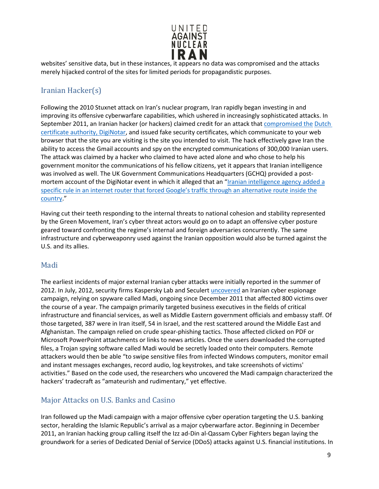

websites' sensitive data, but in these instances, it appears no data was compromised and the attacks merely hijacked control of the sites for limited periods for propagandistic purposes.

#### <span id="page-8-0"></span>Iranian Hacker(s)

Following the 2010 Stuxnet attack on Iran's nuclear program, Iran rapidly began investing in and improving its offensive cyberwarfare capabilities, which ushered in increasingly sophisticated attacks. In September 2011, an Iranian hacker (or hackers) claimed credit for an attack tha[t compromised the](https://carnegieendowment.org/files/Iran_Cyber_Final_Full_v2.pdf) [Dutch](https://carnegieendowment.org/files/Iran_Cyber_Final_Full_v2.pdf)  [certificate authority, DigiNotar, a](https://carnegieendowment.org/files/Iran_Cyber_Final_Full_v2.pdf)nd issued fake security certificates, which communicate to your web browser that the site you are visiting is the site you intended to visit. The hack effectively gave Iran the ability to access the Gmail accounts and spy on the encrypted communications of 300,000 Iranian users. The attack was claimed by a hacker who claimed to have acted alone and who chose to help his government monitor the communications of his fellow citizens, yet it appears that Iranian intelligence was involved as well. The UK Government Communications Headquarters (GCHQ) provided a post-mortem account of the DigiNotar event in which it alleged that an ["Iranian intelligence agency added a](https://carnegieendowment.org/files/Iran_Cyber_Final_Full_v2.pdf) [specific rule in an internet router that forced Google's traffic through an alternative route inside the](https://carnegieendowment.org/files/Iran_Cyber_Final_Full_v2.pdf) [country."](https://carnegieendowment.org/files/Iran_Cyber_Final_Full_v2.pdf)

Having cut their teeth responding to the internal threats to national cohesion and stability represented by the Green Movement, Iran's cyber threat actors would go on to adapt an offensive cyber posture geared toward confronting the regime's internal and foreign adversaries concurrently. The same infrastructure and cyberweaponry used against the Iranian opposition would also be turned against the U.S. and its allies.

#### <span id="page-8-1"></span>Madi

The earliest incidents of major external Iranian cyber attacks were initially reported in the summer of 2012. In July, 2012, security firms Kaspersky Lab and Seculer[t uncovered](https://www.theregister.co.uk/2012/07/17/madi_cyber_espionage_campaign/) an Iranian cyber espionage campaign, relying on spyware called Madi, ongoing since December 2011 that affected 800 victims over the course of a year. The campaign primarily targeted business executives in the fields of critical infrastructure and financial services, as well as Middle Eastern government officials and embassy staff. Of those targeted, 387 were in Iran itself, 54 in Israel, and the rest scattered around the Middle East and Afghanistan. The campaign relied on crude spear-phishing tactics. Those affected clicked on PDF or Microsoft PowerPoint attachments or links to news articles. Once the users downloaded the corrupted files, a Trojan spying software called Madi would be secretly loaded onto their computers. Remote attackers would then be able "to swipe sensitive files from infected Windows computers, monitor email and instant messages exchanges, record audio, log keystrokes, and take screenshots of victims' activities." Based on the code used, the researchers who uncovered the Madi campaign characterized the hackers' tradecraft as "amateurish and rudimentary," yet effective.

#### <span id="page-8-2"></span>Major Attacks on U.S. Banks and Casino

Iran followed up the Madi campaign with a major offensive cyber operation targeting the U.S. banking sector, heralding the Islamic Republic's arrival as a major cyberwarfare actor. Beginning in December 2011, an Iranian hacking group calling itself the Izz ad-Din al-Qassam Cyber Fighters began laying the groundwork for a series of Dedicated Denial of Service (DDoS) attacks against U.S. financial institutions. In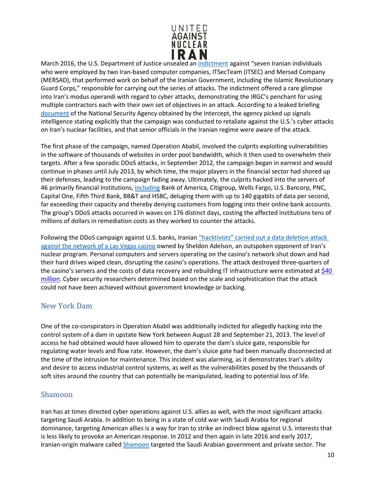

March 2016, the U.S. Department of Justice unsealed an [indictment](https://www.justice.gov/opa/pr/seven-iranians-working-islamic-revolutionary-guard-corps-affiliated-entities-charged) against "seven Iranian individuals who were employed by two Iran-based computer companies, ITSecTeam (ITSEC) and Mersad Company (MERSAD), that performed work on behalf of the Iranian Government, including the Islamic Revolutionary Guard Corps," responsible for carrying out the series of attacks. The indictment offered a rare glimpse into Iran's modus operandi with regard to cyber attacks, demonstrating the IRGC's penchant for using multiple contractors each with their own set of objectives in an attack. According to a leaked briefing [document](https://carnegieendowment.org/files/Iran_Cyber_Final_Full_v2.pdf) of the National Security Agency obtained by the Intercept, the agency picked up signals intelligence stating explicitly that the campaign was conducted to retaliate against the U.S.'s cyber attacks on Iran's nuclear facilities, and that senior officials in the Iranian regime were aware of the attack.

The first phase of the campaign, named Operation Ababil, involved the culprits exploiting vulnerabilities in the software of thousands of websites in order pool bandwidth, which it then used to overwhelm their targets. After a few sporadic DDoS attacks, in September 2012, the campaign began in earnest and would continue in phases until July 2013, by which time, the major players in the financial sector had shored up their defenses, leading to the campaign fading away. Ultimately, the culprits hacked into the servers of 46 primarily financial institutions, [including](https://www.nytimes.com/2013/01/09/technology/online-banking-attacks-were-work-of-iran-us-officials-say.html) Bank of America, Citigroup, Wells Fargo, U.S. Bancorp, PNC, Capital One, Fifth Third Bank, BB&T and HSBC, deluging them with up to 140 gigabits of data per second, far exceeding their capacity and thereby denying customers from logging into their online bank accounts. The group's DDoS attacks occurred in waves on 176 distinct days, costing the affected institutions tens of millions of dollars in remediation costs as they worked to counter the attacks.

Following the DDoS campaign against U.S. banks, Iranian "hacktivists" carried out a data deletion attack [against the network of a Las Vegas casino](https://www.bloomberg.com/news/articles/2014-12-11/iranian-hackers-hit-sheldon-adelsons-sands-casino-in-las-vegas) owned by Sheldon Adelson, an outspoken opponent of Iran's nuclear program. Personal computers and servers operating on the casino's network shut down and had their hard drives wiped clean, disrupting the casino's operations. The attack destroyed three-quarters of the casino's servers and the costs of data recovery and rebuilding IT infrastructure were estimated at \$40 [million.](https://www.claimsjournal.com/news/national/2020/01/06/294849.htm#:%7E:text=The%20withering%20cyber%2Dattack%20laid,that%20Iran%20was%20behind%20it.&text=A%20representative%20for%20Las%20Vegas%20Sands%20Corp.) Cyber security researchers determined based on the scale and sophistication that the attack could not have been achieved without government knowledge or backing.

#### <span id="page-9-0"></span>New York Dam

One of the co-conspirators in Operation Ababil was additionally indicted for allegedly hacking into the control system of a dam in upstate New York between August 28 and September 21, 2013. The level of access he had obtained would have allowed him to operate the dam's sluice gate, responsible for regulating water levels and flow rate. However, the dam's sluice gate had been manually disconnected at the time of the intrusion for maintenance. This incident was alarming, as it demonstrates Iran's ability and desire to access industrial control systems, as well as the vulnerabilities posed by the thousands of soft sites around the country that can potentially be manipulated, leading to potential loss of life.

#### <span id="page-9-1"></span>Shamoon

Iran has at times directed cyber operations against U.S. allies as well, with the most significant attacks targeting Saudi Arabia. In addition to being in a state of cold war with Saudi Arabia for regional dominance, targeting American allies is a way for Iran to strike an indirect blow against U.S. interests that is less likely to provoke an American response. In 2012 and then again in late 2016 and early 2017, Iranian-origin malware called [Shamoon](https://money.cnn.com/2015/08/05/technology/aramco-hack/index.html) targeted the Saudi Arabian government and private sector. The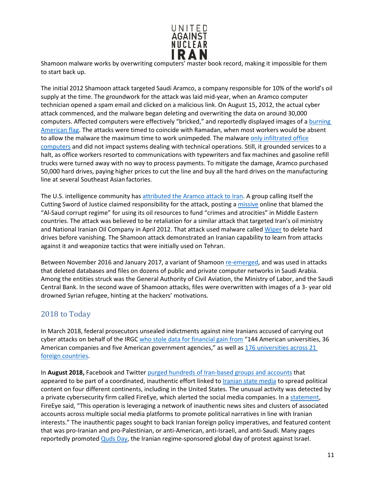

Shamoon malware works by overwriting computers' master book record, making it impossible for them to start back up.

The initial 2012 Shamoon attack targeted Saudi Aramco, a company responsible for 10% of the world's oil supply at the time. The groundwork for the attack was laid mid-year, when an Aramco computer technician opened a spam email and clicked on a malicious link. On August 15, 2012, the actual cyber attack commenced, and the malware began deleting and overwriting the data on around 30,000 computers. Affected computers were effectively "bricked," and reportedly displayed images of a [burning](https://www.reuters.com/article/us-saudi-cyber-idUSKBN1571ZR)  [American flag.](https://www.reuters.com/article/us-saudi-cyber-idUSKBN1571ZR) The attacks were timed to coincide with Ramadan, when most workers would be absent to allow the malware the maximum time to work unimpeded. The malware [only infiltrated office](https://www.reuters.com/article/us-saudi-cyber-idUSKBN1571ZR) [computers](https://www.reuters.com/article/us-saudi-cyber-idUSKBN1571ZR) and did not impact systems dealing with technical operations. Still, it grounded services to a halt, as office workers resorted to communications with typewriters and fax machines and gasoline refill trucks were turned away with no way to process payments. To mitigate the damage, Aramco purchased 50,000 hard drives, paying higher prices to cut the line and buy all the hard drives on the manufacturing line at several Southeast Asian factories.

The U.S. intelligence community has [attributed the Aramco attack to Iran. A](https://www.cfr.org/interactive/cyber-operations/compromise-saudi-aramco-and-rasgas) group calling itself the Cutting Sword of Justice claimed responsibility for the attack, posting [a missive o](https://pastebin.com/HqAgaQRj)nline that blamed the "Al-Saud corrupt regime" for using its oil resources to fund "crimes and atrocities" in Middle Eastern countries. The attack was believed to be retaliation for a similar attack that targeted Iran's oil ministry and National Iranian Oil Company in April 2012. That attack used malware calle[d Wiper](https://supchina.com/2016/06/22/book-excerpt-hacked-world-order-adam-segal/) to delete hard drives before vanishing. The Shamoon attack demonstrated an Iranian capability to learn from attacks against it and weaponize tactics that were initially used on Tehran.

Between November 2016 and January 2017, a variant of Shamoo[n re-emerged, a](https://www.reuters.com/article/us-saudi-cyber-idUSKBN1571ZR)nd was used in attacks that deleted databases and files on dozens of public and private computer networks in Saudi Arabia. Among the entities struck was the General Authority of Civil Aviation, the Ministry of Labor, and the Saudi Central Bank. In the second wave of Shamoon attacks, files were overwritten with images of a 3- year old drowned Syrian refugee, hinting at the hackers' motivations.

#### <span id="page-10-0"></span>2018 to Today

In March 2018, federal prosecutors unsealed indictments against nine Iranians accused of carrying out cyber attacks on behalf of the IRG[C who stole data for financial gain from](https://www.wsj.com/articles/u-s-charges-nine-iranians-with-cyber-attack-campaign-1521815253) "144 American universities, 36 American companies and five American government agencies," as well as 176 universities across 21 [foreign countries.](https://www.justice.gov/usao-sdny/pr/nine-iranians-charged-conducting-massive-cyber-theft-campaign-behalf-islamic?mod=article_inline)

In **August 2018,** Facebook and Twitte[r purged hundreds of Iran-based groups and accounts](https://www.nbcnews.com/news/amp/ncna902716) that appeared to be part of a coordinated, inauthentic effort linked to [Iranian state media](https://www.unitedagainstnucleariran.com/ideological-expansion/irans-media-empire) to spread political content on four different continents, including in the United States. The unusual activity was detected by a private cybersecurity firm called FireEye, which alerted the social media companies. In a [statement,](https://www.fireeye.com/blog/threat-research/2018/08/suspected-iranian-influence-operation.html) FireEye said, "This operation is leveraging a network of inauthentic news sites and clusters of associated accounts across multiple social media platforms to promote political narratives in line with Iranian interests." The inauthentic pages sought to back Iranian foreign policy imperatives, and featured content that was pro-Iranian and pro-Palestinian, or anti-American, anti-Israeli, and anti-Saudi. Many pages reportedly promoted [Quds Day, t](https://www.unitedagainstnucleariran.com/ideological-expansion/quds-day)he Iranian regime-sponsored global day of protest against Israel.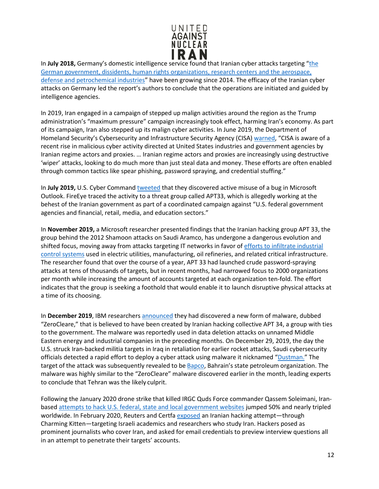

In **July 2018,** Germany's domestic intelligence service found that Iranian cyber attacks targeting ["the](https://www.reuters.com/article/us-germany-espionage-cyber/irans-growing-cyber-capabilities-pose-danger-german-spy-agency-idUSKBN1KE0X3) [German government, dissidents, human rights organizations, research centers and the aerospace,](https://www.reuters.com/article/us-germany-espionage-cyber/irans-growing-cyber-capabilities-pose-danger-german-spy-agency-idUSKBN1KE0X3) [defense and petrochemical industries"](https://www.reuters.com/article/us-germany-espionage-cyber/irans-growing-cyber-capabilities-pose-danger-german-spy-agency-idUSKBN1KE0X3) have been growing since 2014. The efficacy of the Iranian cyber attacks on Germany led the report's authors to conclude that the operations are initiated and guided by intelligence agencies.

In 2019, Iran engaged in a campaign of stepped up malign activities around the region as the Trump administration's "maximum pressure" campaign increasingly took effect, harming Iran's economy. As part of its campaign, Iran also stepped up its malign cyber activities. In June 2019, the Department of Homeland Security's Cybersecurity and Infrastructure Security Agency (CISA) [warned, "](https://www.dhs.gov/news/2019/06/22/cisa-statement-iranian-cybersecurity-threats)CISA is aware of a recent rise in malicious cyber activity directed at United States industries and government agencies by Iranian regime actors and proxies. … Iranian regime actors and proxies are increasingly using destructive 'wiper' attacks, looking to do much more than just steal data and money. These efforts are often enabled through common tactics like spear phishing, password spraying, and credential stuffing."

In **July 2019,** U.S. Cyber Comman[d tweeted](https://www.defenseone.com/technology/2019/07/suspected-iranian-cyber-attacks-show-no-sign-slowing/158213/) that they discovered active misuse of a bug in Microsoft Outlook. FireEye traced the activity to a threat group called APT33, which is allegedly working at the behest of the Iranian government as part of a coordinated campaign against "U.S. federal government agencies and financial, retail, media, and education sectors."

In **November 2019,** a Microsoft researcher presented findings that the Iranian hacking group APT 33, the group behind the 2012 Shamoon attacks on Saudi Aramco, has undergone a dangerous evolution and shifted focus, moving away from attacks targeting IT networks in favor o[f efforts to infiltrate industrial](https://www.wired.com/story/iran-apt33-industrial-control-systems/) [control systems](https://www.wired.com/story/iran-apt33-industrial-control-systems/) used in electric utilities, manufacturing, oil refineries, and related critical infrastructure. The researcher found that over the course of a year, APT 33 had launched crude password-spraying attacks at tens of thousands of targets, but in recent months, had narrowed focus to 2000 organizations per month while increasing the amount of accounts targeted at each organization ten-fold. The effort indicates that the group is seeking a foothold that would enable it to launch disruptive physical attacks at a time of its choosing.

In **December 2019**, IBM researcher[s announced](https://www.cyberscoop.com/iran-destructive-malware-ibm/) they had discovered a new form of malware, dubbed "ZeroCleare," that is believed to have been created by Iranian hacking collective APT 34, a group with ties to the government. The malware was reportedly used in data deletion attacks on unnamed Middle Eastern energy and industrial companies in the preceding months. On December 29, 2019, the day the U.S. struck Iran-backed militia targets in Iraq in retaliation for earlier rocket attacks, Saudi cybersecurity officials detected a rapid effort to deploy a cyber attack using malware it nicknamed ["Dustman."](https://news.yahoo.com/days-before-suleimani-strike-saudis-warned-of-new-destructive-cyber-attack-013125981.html) The target of the attack was subsequently revealed to be [Bapco, B](https://www.cpomagazine.com/cyber-security/data-wiper-malware-attack-on-bahrains-national-oil-company-linked-to-iran-part-of-an-ongoing-pattern/)ahrain's state petroleum organization. The malware was highly similar to the "ZeroCleare" malware discovered earlier in the month, leading experts to conclude that Tehran was the likely culprit.

Following the January 2020 drone strike that killed IRGC Quds Force commander Qassem Soleimani, Iranbased [attempts to hack U.S. federal, state and local government websites](https://www.cnn.com/2020/01/08/tech/iran-hackers-soleimani/index.html) jumped 50% and nearly tripled worldwide. In February 2020, Reuters and Certfa [exposed](https://www.reuters.com/article/us-iran-hackers-exclusive/exclusive-iran-linked-hackers-pose-as-journalists-in-email-scam-idUSKBN1ZZ1MS) an Iranian hacking attempt—through Charming Kitten—targeting Israeli academics and researchers who study Iran. Hackers posed as prominent journalists who cover Iran, and asked for email credentials to preview interview questions all in an attempt to penetrate their targets' accounts.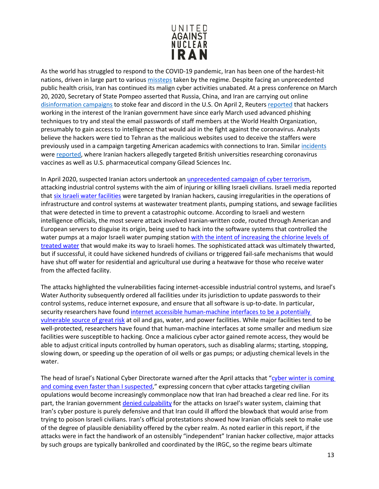

As the world has struggled to respond to the COVID-19 pandemic, Iran has been one of the hardest-hit nations, driven in large part to various [missteps](https://time.com/5804706/iran-coronavirus/) taken by the regime. Despite facing an unprecedented public health crisis, Iran has continued its malign cyber activities unabated. At a press conference on March 20, 2020, Secretary of State Pompeo asserted that Russia, China, and Iran are carrying out online [disinformation campaigns](https://thehill.com/policy/national-security/488659-pompeo-says-china-russia-iran-are-spreading-disinformation-about) to stoke fear and discord in the U.S. On April 2, Reuters [reported](https://www.reuters.com/article/us-health-coronavirus-cyber-iran-exclusi/exclusive-hackers-linked-to-iran-target-who-staff-emails-during-coronavirus-sources-idUSKBN21K1RC) that hackers working in the interest of the Iranian government have since early March used advanced phishing techniques to try and steal the email passwords of staff members at the World Health Organization, presumably to gain access to intelligence that would aid in the fight against the coronavirus. Analysts believe the hackers were tied to Tehran as the malicious websites used to deceive the staffers were previously used in a campaign targeting American academics with connections to Iran. Similar [incidents](https://www.dailymail.co.uk/news/article-8281091/Iran-Russia-launch-hacking-attacks-British-unis-attempt-steal-vaccine-secrets.html) were [reported, w](https://www.reuters.com/article/us-healthcare-coronavirus-gilead-iran-ex/exclusive-iran-linked-hackers-recently-targeted-coronavirus-drugmaker-gilead-sources-idUSKBN22K2EV)here Iranian hackers allegedly targeted British universities researching coronavirus vaccines as well as U.S. pharmaceutical company Gilead Sciences Inc.

In April 2020, suspected Iranian actors undertook a[n unprecedented campaign of cyber terrorism,](https://www.washingtonpost.com/national-security/intelligence-officials-say-attempted-cyberattack-on-israeli-water-utilities-linked-to-iran/2020/05/08/f9ab0d78-9157-11ea-9e23-6914ee410a5f_story.html) attacking industrial control systems with the aim of injuring or killing Israeli civilians. Israeli media reported that [six Israeli water facilities](https://www.timesofisrael.com/6-facilities-said-hit-in-irans-cyberattack-on-israels-water-system-in-april/#:%7E:text=The%20Water%20Authority%20and%20Israel,incidents%20on%20April%2024%2D25.&text=Israel%20reportedly%20responded%20to%20the,chaos%20in%20the%20Islamic%20Republic.) were targeted by Iranian hackers, causing irregularities in the operations of infrastructure and control systems at wastewater treatment plants, pumping stations, and sewage facilities that were detected in time to prevent a catastrophic outcome. According to Israeli and western intelligence officials, the most severe attack involved Iranian-written code, routed through American and European servers to disguise its origin, being used to hack into the software systems that controlled the water pumps at a major Israeli water pumping station with the intent of increasing the chlorine levels of [treated water](https://www.ft.com/content/3ea57426-40e2-42da-9e2c-97b0e39dd967) that would make its way to Israeli homes. The sophisticated attack was ultimately thwarted, but if successful, it could have sickened hundreds of civilians or triggered fail-safe mechanisms that would have shut off water for residential and agricultural use during a heatwave for those who receive water from the affected facility.

The attacks highlighted the vulnerabilities facing internet-accessible industrial control systems, and Israel's Water Authority subsequently ordered all facilities under its jurisdiction to update passwords to their control systems, reduce internet exposure, and ensure that all software is up-to-date. In particular, security researchers have found [internet accessible human-machine interfaces](https://www.securityweek.com/internet-exposed-hmis-put-energy-water-facilities-risk-report) to be a potentially [vulnerable source of great risk](https://www.securityweek.com/internet-exposed-hmis-put-energy-water-facilities-risk-report) at oil and gas, water, and power facilities. While major facilities tend to be well-protected, researchers have found that human-machine interfaces at some smaller and medium size facilities were susceptible to hacking. Once a malicious cyber actor gained remote access, they would be able to adjust critical inputs controlled by human operators, such as disabling alarms; starting, stopping, slowing down, or speeding up the operation of oil wells or gas pumps; or adjusting chemical levels in the water.

The head of Israel's National Cyber Directorate warned after the April attacks that ["cyber winter is coming](https://www.timesofisrael.com/iran-cyberattack-on-israels-water-supply-could-have-sickened-hundreds-report/)  [and coming even faster than I suspected,](https://www.timesofisrael.com/iran-cyberattack-on-israels-water-supply-could-have-sickened-hundreds-report/)" expressing concern that cyber attacks targeting civilian opulations would become increasingly commonplace now that Iran had breached a clear red line. For its part, the Iranian government [denied culpability](https://www.ft.com/content/3ea57426-40e2-42da-9e2c-97b0e39dd967) for the attacks on Israel's water system, claiming that Iran's cyber posture is purely defensive and that Iran could ill afford the blowback that would arise from trying to poison Israeli civilians. Iran's official protestations showed how Iranian officials seek to make use of the degree of plausible deniability offered by the cyber realm. As noted earlier in this report, if the attacks were in fact the handiwork of an ostensibly "independent" Iranian hacker collective, major attacks by such groups are typically bankrolled and coordinated by the IRGC, so the regime bears ultimate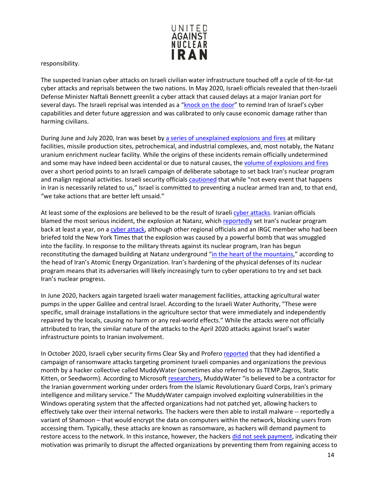

responsibility.

The suspected Iranian cyber attacks on Israeli civilian water infrastructure touched off a cycle of tit-for-tat cyber attacks and reprisals between the two nations. In May 2020, Israeli officials revealed that then-Israeli Defense Minister Naftali Bennett greenlit a cyber attack that caused delays at a major Iranian port for several days. The Israeli reprisal was intended as a ["knock on the door"](https://www.ft.com/content/3ea57426-40e2-42da-9e2c-97b0e39dd967) to remind Iran of Israel's cyber capabilities and deter future aggression and was calibrated to only cause economic damage rather than harming civilians.

During June and July 2020, Iran was beset by [a series of unexplained explosions and fires](https://www.nytimes.com/2020/07/05/world/middleeast/iran-Natanz-nuclear-damage.html) at military facilities, missile production sites, petrochemical, and industrial complexes, and, most notably, the Natanz uranium enrichment nuclear facility. While the origins of these incidents remain officially undetermined and some may have indeed been accidental or due to natural causes, th[e volume of explosions and fires](https://twitter.com/sfrantzman/status/1284798328945938434) over a short period points to an Israeli campaign of deliberate sabotage to set back Iran's nuclear program and malign regional activities. Israeli security officials [cautioned](https://www.nytimes.com/2020/07/05/world/middleeast/iran-Natanz-nuclear-damage.html) that while "not every event that happens in Iran is necessarily related to us," Israel is committed to preventing a nuclear armed Iran and, to that end, "we take actions that are better left unsaid."

At least some of the explosions are believed to be the result of Israeli [cyber attacks.](https://www.israelhayom.com/2020/06/29/was-israel-behind-fridays-mysterious-blast-near-tehran/) Iranian officials blamed the most serious incident, the explosion at Natanz, whic[h reportedly](https://www.nytimes.com/2020/07/10/world/middleeast/iran-nuclear-trump.html) set Iran's nuclear program back at least a year, on [a cyber attack,](https://www.reuters.com/article/us-iran-nuclear-natanz/iran-threatens-retaliation-after-what-it-calls-possible-cyber-attack-on-nuclear-site-idUSKBN2441VY) although other regional officials and an IRGC member who had been briefed told the New York Times that the explosion was caused by a powerful bomb that was smuggled into the facility. In response to the military threats against its nuclear program, Iran has begun reconstituting the damaged building at Natanz underground ["in the heart of the mountains,](https://www.nytimes.com/2020/12/09/world/natanz-nuclear-facility-iran.html)" according to the head of Iran's Atomic Energy Organization. Iran's hardening of the physical defenses of its nuclear program means that its adversaries will likely increasingly turn to cyber operations to try and set back Iran's nuclear progress.

In June 2020, hackers again targeted Israeli water management facilities, attacking agricultural water pumps in the upper Galilee and central Israel. According to the Israeli Water Authority, "These were specific, small drainage installations in the agriculture sector that were immediately and independently repaired by the locals, causing no harm or any real-world effects." While the attacks were not officially attributed to Iran, the similar nature of the attacks to the April 2020 attacks against Israel's water infrastructure points to Iranian involvement.

In October 2020, Israeli cyber security firms Clear Sky and Profer[o reported](https://www.clearskysec.com/operation-quicksand/) that they had identified a campaign of ransomware attacks targeting prominent Israeli companies and organizations the previous month by a hacker collective called MuddyWater (sometimes also referred to as TEMP.Zagros, Static Kitten, or Seedworm). According to Microsoft [researchers,](https://www.zdnet.com/article/microsoft-says-iranian-hackers-are-exploiting-the-zerologon-vulnerability/) MuddyWater "is believed to be a contractor for the Iranian government working under orders from the Islamic Revolutionary Guard Corps, Iran's primary intelligence and military service." The MuddyWater campaign involved exploiting vulnerabilities in the Windows operating system that the affected organizations had not patched yet, allowing hackers to effectively take over their internal networks. The hackers were then able to install malware -- reportedly a variant of Shamoon – that would encrypt the data on computers within the network, blocking users from accessing them. Typically, these attacks are known as ransomware, as hackers will demand payment to restore access to the network. In this instance, however, the hackers [did not seek payment,](https://www.calcalistech.com/ctech/articles/0,7340,L-3861771,00.html) indicating their motivation was primarily to disrupt the affected organizations by preventing them from regaining access to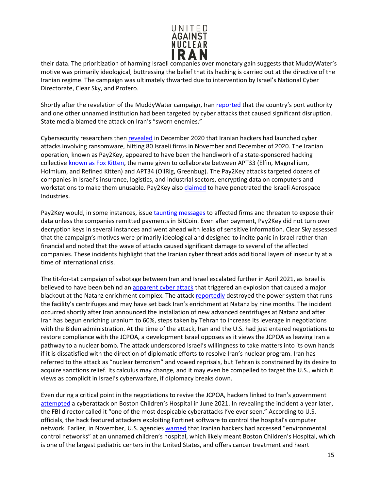

their data. The prioritization of harming Israeli companies over monetary gain suggests that MuddyWater's motive was primarily ideological, buttressing the belief that its hacking is carried out at the directive of the Iranian regime. The campaign was ultimately thwarted due to intervention by Israel's National Cyber Directorate, Clear Sky, and Profero.

Shortly after the revelation of the MuddyWater campaign, Iran [reported](https://www.reuters.com/article/iran-cyber-attacks-int/iran-says-one-of-two-cyber-attack-targets-was-countrys-ports-news-agency-idUSKBN271135) that the country's port authority and one other unnamed institution had been targeted by cyber attacks that caused significant disruption. State media blamed the attack on Iran's "sworn enemies."

Cybersecurity researchers the[n revealed](https://www.haaretz.com/israel-news/tech-news/.premium-iranian-hackers-hit-over-80-israeli-firms-as-massive-cyberattack-continues-1.9375486) in December 2020 that Iranian hackers had launched cyber attacks involving ransomware, hitting 80 Israeli firms in November and December of 2020. The Iranian operation, known as Pay2Key, appeared to have been the handiwork of a state-sponsored hacking collective [known as Fox Kitten,](https://www.securityweek.com/iranian-hackers-target-israeli-companies-pay2key-ransomware) the name given to collaborate between APT33 (Elfin, Magnallium, Holmium, and Refined Kitten) and APT34 (OilRig, Greenbug). The Pay2Key attacks targeted dozens of companies in Israel's insurance, logistics, and industrial sectors, encrypting data on computers and workstations to make them unusable. Pay2Key also [claimed](https://www.timesofisrael.com/iran-linked-group-claims-to-hack-israeli-defense-firm-releases-employee-data/) to have penetrated the Israeli Aerospace Industries.

Pay2Key would, in some instances, issu[e taunting messages](https://www.clearskysec.com/wp-content/uploads/2020/12/Pay2Kitten.pdf) to affected firms and threaten to expose their data unless the companies remitted payments in BitCoin. Even after payment, Pay2Key did not turn over decryption keys in several instances and went ahead with leaks of sensitive information. Clear Sky assessed that the campaign's motives were primarily ideological and designed to incite panic in Israel rather than financial and noted that the wave of attacks caused significant damage to several of the affected companies. These incidents highlight that the Iranian cyber threat adds additional layers of insecurity at a time of international crisis.

The tit-for-tat campaign of sabotage between Iran and Israel escalated further in April 2021, as Israel is believed to have been behind a[n apparent cyber attack](https://www.washingtonpost.com/world/2021/04/12/faq-natanz-nuclear-site-attack-israel/) that triggered an explosion that caused a major blackout at the Natanz enrichment complex. The attack [reportedly](https://www.nytimes.com/2021/04/11/world/middleeast/iran-nuclear-natanz.html) destroyed the power system that runs the facility's centrifuges and may have set back Iran's enrichment at Natanz by nine months. The incident occurred shortly after Iran announced the installation of new advanced centrifuges at Natanz and after Iran has begun enriching uranium to 60%, steps taken by Tehran to increase its leverage in negotiations with the Biden administration. At the time of the attack, Iran and the U.S. had just entered negotiations to restore compliance with the JCPOA, a development Israel opposes as it views the JCPOA as leaving Iran a pathway to a nuclear bomb. The attack underscored Israel's willingness to take matters into its own hands if it is dissatisfied with the direction of diplomatic efforts to resolve Iran's nuclear program. Iran has referred to the attack as "nuclear terrorism" and vowed reprisals, but Tehran is constrained by its desire to acquire sanctions relief. Its calculus may change, and it may even be compelled to target the U.S., which it views as complicit in Israel's cyberwarfare, if diplomacy breaks down.

Even during a critical point in the negotiations to revive the JCPOA, hackers linked to Iran's government [attempted](https://www.cnn.com/2022/06/01/politics/fbi-blames-iran-hospital-cyberattack/index.html) a cyberattack on Boston Children's Hospital in June 2021. In revealing the incident a year later, the FBI director called it "one of the most despicable cyberattacks I've ever seen." According to U.S. officials, the hack featured attackers exploiting Fortinet software to control the hospital's computer network. Earlier, in November, U.S. agencies [warned](https://www.wsj.com/articles/fbi-chief-blames-iran-for-cyberattack-on-boston-childrens-hospital-11654096382) that Iranian hackers had accessed "environmental control networks" at an unnamed children's hospital, which likely meant Boston Children's Hospital, which is one of the largest pediatric centers in the United States, and offers cancer treatment and heart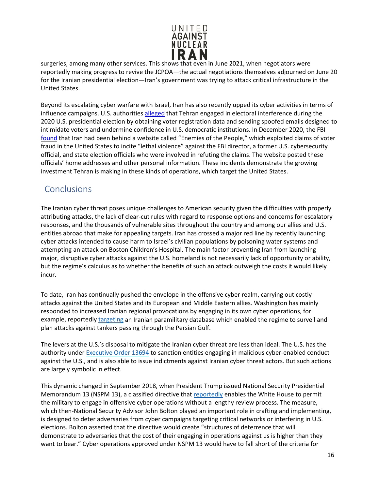

surgeries, among many other services. This shows that even in June 2021, when negotiators were reportedly making progress to revive the JCPOA—the actual negotiations themselves adjourned on June 20 for the Iranian presidential election—Iran's government was trying to attack critical infrastructure in the United States.

Beyond its escalating cyber warfare with Israel, Iran has also recently upped its cyber activities in terms of influence campaigns. U.S. authorities [alleged](https://www.reuters.com/article/us-usa-election-security-2020/u-s-intelligence-agencies-say-iran-russia-have-tried-to-meddle-in-2020-election-idUSKBN2771PI) that Tehran engaged in electoral interference during the 2020 U.S. presidential election by obtaining voter registration data and sending spoofed emails designed to intimidate voters and undermine confidence in U.S. democratic institutions. In December 2020, the FBI [found](https://www.washingtonpost.com/national-security/iran-election-fraud-violence/2020/12/22/4a28e9ba-44a8-11eb-a277-49a6d1f9dff1_story.html) that Iran had been behind a website called "Enemies of the People," which exploited claims of voter fraud in the United States to incite "lethal violence" against the FBI director, a former U.S. cybersecurity official, and state election officials who were involved in refuting the claims. The website posted these officials' home addresses and other personal information. These incidents demonstrate the growing investment Tehran is making in these kinds of operations, which target the United States.

### <span id="page-15-0"></span>**Conclusions**

The Iranian cyber threat poses unique challenges to American security given the difficulties with properly attributing attacks, the lack of clear-cut rules with regard to response options and concerns for escalatory responses, and the thousands of vulnerable sites throughout the country and among our allies and U.S. entities abroad that make for appealing targets. Iran has crossed a major red line by recently launching cyber attacks intended to cause harm to Israel's civilian populations by poisoning water systems and attempting an attack on Boston Children's Hospital. The main factor preventing Iran from launching major, disruptive cyber attacks against the U.S. homeland is not necessarily lack of opportunity or ability, but the regime's calculus as to whether the benefits of such an attack outweigh the costs it would likely incur.

To date, Iran has continually pushed the envelope in the offensive cyber realm, carrying out costly attacks against the United States and its European and Middle Eastern allies. Washington has mainly responded to increased Iranian regional provocations by engaging in its own cyber operations, for example, reportedly [targeting](https://www.nytimes.com/2019/08/28/us/politics/us-iran-cyber-attack.html) an Iranian paramilitary database which enabled the regime to surveil and plan attacks against tankers passing through the Persian Gulf.

The levers at the U.S.'s disposal to mitigate the Iranian cyber threat are less than ideal. The U.S. has the authority under **Executive Order 13694** to sanction entities engaging in malicious cyber-enabled conduct against the U.S., and is also able to issue indictments against Iranian cyber threat actors. But such actions are largely symbolic in effect.

This dynamic changed in September 2018, when President Trump issued National Security Presidential Memorandum 13 (NSPM 13), a classified directive that [reportedly](https://www.washingtonpost.com/world/national-security/trump-authorizes-offensive-cyber-operations-to-deter-foreign-adversaries-bolton-says/2018/09/20/b5880578-bd0b-11e8-b7d2-0773aa1e33da_story.html) enables the White House to permit the military to engage in offensive cyber operations without a lengthy review process. The measure, which then-National Security Advisor John Bolton played an important role in crafting and implementing, is designed to deter adversaries from cyber campaigns targeting critical networks or interfering in U.S. elections. Bolton asserted that the directive would create "structures of deterrence that will demonstrate to adversaries that the cost of their engaging in operations against us is higher than they want to bear." Cyber operations approved under NSPM 13 would have to fall short of the criteria for